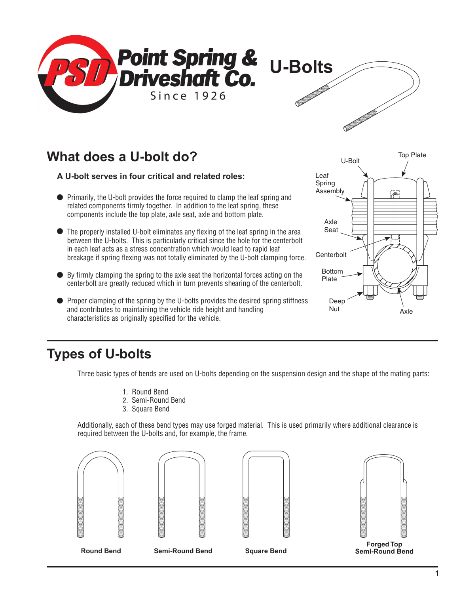

# **What does a U-bolt do?**

#### **A U-bolt serves in four critical and related roles:**

- Primarily, the U-bolt provides the force required to clamp the leaf spring and related components firmly together. In addition to the leaf spring, these components include the top plate, axle seat, axle and bottom plate.
- The properly installed U-bolt eliminates any flexing of the leaf spring in the area between the U-bolts. This is particularly critical since the hole for the centerbolt in each leaf acts as a stress concentration which would lead to rapid leaf breakage if spring flexing was not totally eliminated by the U-bolt clamping force.
- $\bullet$  By firmly clamping the spring to the axle seat the horizontal forces acting on the centerbolt are greatly reduced which in turn prevents shearing of the centerbolt.
- **•** Proper clamping of the spring by the U-bolts provides the desired spring stiffness and contributes to maintaining the vehicle ride height and handling characteristics as originally specified for the vehicle.



# **Types of U-bolts**

Three basic types of bends are used on U-bolts depending on the suspension design and the shape of the mating parts:

- 1. Round Bend
- 2. Semi-Round Bend
- 3. Square Bend

Additionally, each of these bend types may use forged material. This is used primarily where additional clearance is required between the U-bolts and, for example, the frame.









**Forged Top Semi-Round Bend**

**Round Bend Semi-Round Bend Square Bend**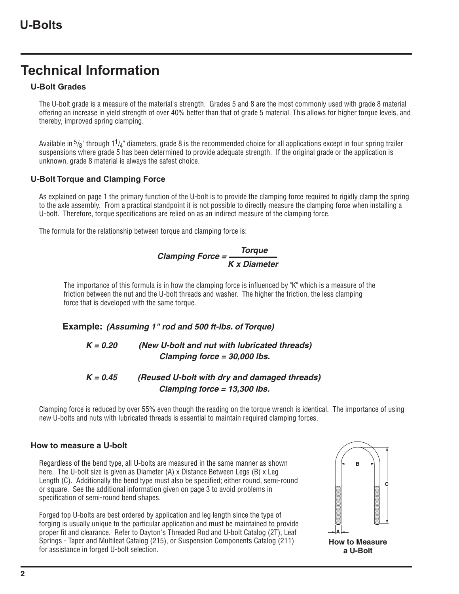# **Technical Information**

#### **U-Bolt Grades**

The U-bolt grade is a measure of the material's strength. Grades 5 and 8 are the most commonly used with grade 8 material offering an increase in yield strength of over 40% better than that of grade 5 material. This allows for higher torque levels, and thereby, improved spring clamping.

Available in  $^5\prime_8$ " through 1 $^1\prime_4$ " diameters, grade 8 is the recommended choice for all applications except in four spring trailer suspensions where grade 5 has been determined to provide adequate strength. If the original grade or the application is unknown, grade 8 material is always the safest choice.

#### **U-Bolt Torque and Clamping Force**

As explained on page 1 the primary function of the U-bolt is to provide the clamping force required to rigidly clamp the spring to the axle assembly. From a practical standpoint it is not possible to directly measure the clamping force when installing a U-bolt. Therefore, torque specifications are relied on as an indirect measure of the clamping force.

The formula for the relationship between torque and clamping force is:

#### **Clamping Force = Torque K x Diameter**

The importance of this formula is in how the clamping force is influenced by "K" which is a measure of the friction between the nut and the U-bolt threads and washer. The higher the friction, the less clamping force that is developed with the same torque.

#### **Example: (Assuming 1" rod and 500 ft-lbs. of Torque)**

#### **K = 0.20 (New U-bolt and nut with lubricated threads) Clamping force = 30,000 lbs.**

#### **K = 0.45 (Reused U-bolt with dry and damaged threads) Clamping force = 13,300 lbs.**

Clamping force is reduced by over 55% even though the reading on the torque wrench is identical. The importance of using new U-bolts and nuts with lubricated threads is essential to maintain required clamping forces.

#### **How to measure a U-bolt**

Regardless of the bend type, all U-bolts are measured in the same manner as shown here. The U-bolt size is given as Diameter (A) x Distance Between Legs (B) x Leg Length (C). Additionally the bend type must also be specified; either round, semi-round or square. See the additional information given on page 3 to avoid problems in specification of semi-round bend shapes.

Forged top U-bolts are best ordered by application and leg length since the type of forging is usually unique to the particular application and must be maintained to provide proper fit and clearance. Refer to Dayton's Threaded Rod and U-bolt Catalog (2T), Leaf Springs - Taper and Multileaf Catalog (215), or Suspension Components Catalog (211) for assistance in forged U-bolt selection.



**a U-Bolt**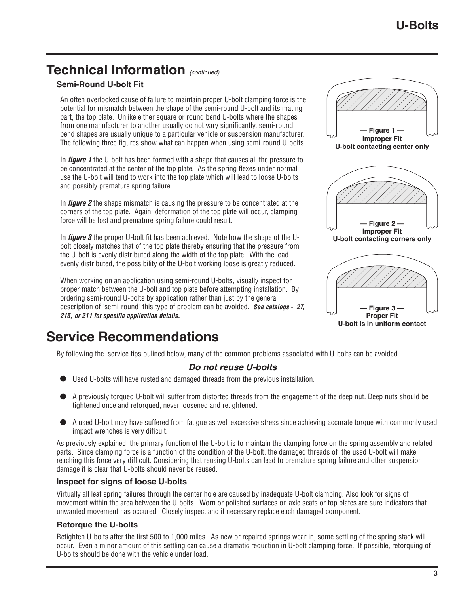# **Technical Information** (continued)

#### **Semi-Round U-bolt Fit**

An often overlooked cause of failure to maintain proper U-bolt clamping force is the potential for mismatch between the shape of the semi-round U-bolt and its mating part, the top plate. Unlike either square or round bend U-bolts where the shapes from one manufacturer to another usually do not vary significantly, semi-round bend shapes are usually unique to a particular vehicle or suspension manufacturer. The following three figures show what can happen when using semi-round U-bolts.

In **figure 1** the U-bolt has been formed with a shape that causes all the pressure to be concentrated at the center of the top plate. As the spring flexes under normal use the U-bolt will tend to work into the top plate which will lead to loose U-bolts and possibly premature spring failure.

In figure 2 the shape mismatch is causing the pressure to be concentrated at the corners of the top plate. Again, deformation of the top plate will occur, clamping force will be lost and premature spring failure could result.

In **figure 3** the proper U-bolt fit has been achieved. Note how the shape of the Ubolt closely matches that of the top plate thereby ensuring that the pressure from the U-bolt is evenly distributed along the width of the top plate. With the load evenly distributed, the possibility of the U-bolt working loose is greatly reduced.

When working on an application using semi-round U-bolts, visually inspect for proper match between the U-bolt and top plate before attempting installation. By ordering semi-round U-bolts by application rather than just by the general description of "semi-round" this type of problem can be avoided. **See catalogs - 2T, 215, or 211 for specific application details.**

# **Service Recommendations**

By following the service tips oulined below, many of the common problems associated with U-bolts can be avoided.

#### **Do not reuse U-bolts**

- Used U-bolts will have rusted and damaged threads from the previous installation.
- A previously torqued U-bolt will suffer from distorted threads from the engagement of the deep nut. Deep nuts should be tightened once and retorqued, never loosened and retightened.
- A used U-bolt may have suffered from fatigue as well excessive stress since achieving accurate torque with commonly used impact wrenches is very dificult.

As previously explained, the primary function of the U-bolt is to maintain the clamping force on the spring assembly and related parts. Since clamping force is a function of the condition of the U-bolt, the damaged threads of the used U-bolt will make reaching this force very difficult. Considering that reusing U-bolts can lead to premature spring failure and other suspension damage it is clear that U-bolts should never be reused.

#### **Inspect for signs of loose U-bolts**

Virtually all leaf spring failures through the center hole are caused by inadequate U-bolt clamping. Also look for signs of movement within the area between the U-bolts. Worn or polished surfaces on axle seats or top plates are sure indicators that unwanted movement has occured. Closely inspect and if necessary replace each damaged component.

#### **Retorque the U-bolts**

Retighten U-bolts after the first 500 to 1,000 miles. As new or repaired springs wear in, some settling of the spring stack will occur. Even a minor amount of this settling can cause a dramatic reduction in U-bolt clamping force. If possible, retorquing of U-bolts should be done with the vehicle under load.







**— Figure 3 — Proper Fit U-bolt is in uniform contact**